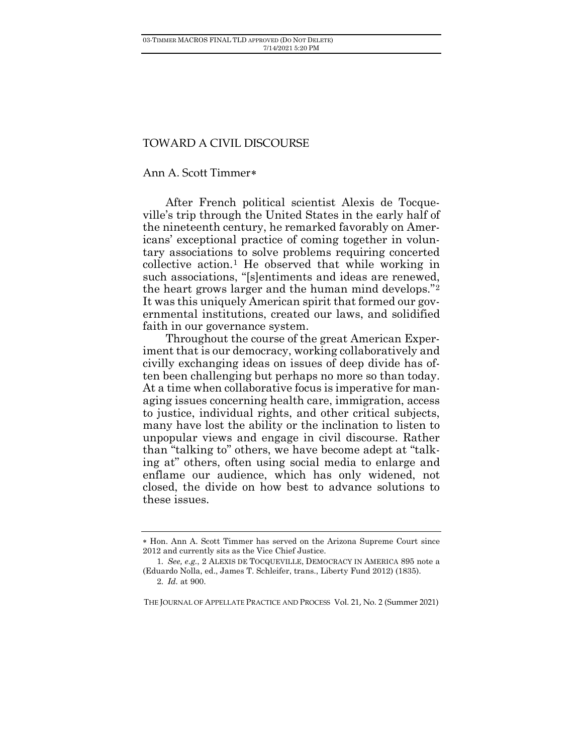## TOWARD A CIVIL DISCOURSE

## Ann A. Scott Timmer[∗](#page-0-0)

After French political scientist Alexis de Tocqueville's trip through the United States in the early half of the nineteenth century, he remarked favorably on Americans' exceptional practice of coming together in voluntary associations to solve problems requiring concerted collective action.[1](#page-0-1) He observed that while working in such associations, "[s]entiments and ideas are renewed, the heart grows larger and the human mind develops."[2](#page-0-2) It was this uniquely American spirit that formed our governmental institutions, created our laws, and solidified faith in our governance system.

Throughout the course of the great American Experiment that is our democracy, working collaboratively and civilly exchanging ideas on issues of deep divide has often been challenging but perhaps no more so than today. At a time when collaborative focus is imperative for managing issues concerning health care, immigration, access to justice, individual rights, and other critical subjects, many have lost the ability or the inclination to listen to unpopular views and engage in civil discourse. Rather than "talking to" others, we have become adept at "talking at" others, often using social media to enlarge and enflame our audience, which has only widened, not closed, the divide on how best to advance solutions to these issues.

<span id="page-0-0"></span><sup>∗</sup> Hon. Ann A. Scott Timmer has served on the Arizona Supreme Court since 2012 and currently sits as the Vice Chief Justice.

<span id="page-0-2"></span><span id="page-0-1"></span><sup>1</sup>*. See, e.g.*, 2 ALEXIS DE TOCQUEVILLE, DEMOCRACY IN AMERICA 895 note a (Eduardo Nolla, ed., James T. Schleifer, trans., Liberty Fund 2012) (1835).

<sup>2</sup>*. Id.* at 900.

THE JOURNAL OF APPELLATE PRACTICE AND PROCESS Vol. 21, No. 2 (Summer 2021)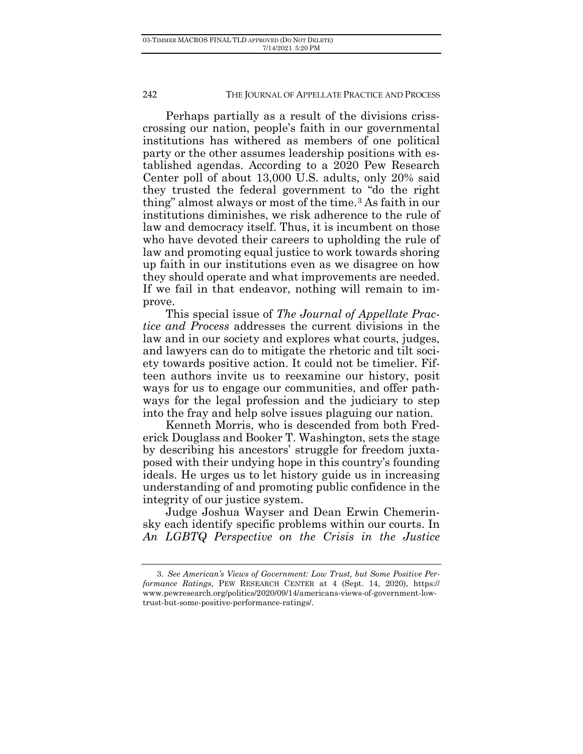Perhaps partially as a result of the divisions crisscrossing our nation, people's faith in our governmental institutions has withered as members of one political party or the other assumes leadership positions with established agendas. According to a 2020 Pew Research Center poll of about 13,000 U.S. adults, only 20% said they trusted the federal government to "do the right thing" almost always or most of the time.[3](#page-1-0) As faith in our institutions diminishes, we risk adherence to the rule of law and democracy itself. Thus, it is incumbent on those who have devoted their careers to upholding the rule of law and promoting equal justice to work towards shoring up faith in our institutions even as we disagree on how they should operate and what improvements are needed. If we fail in that endeavor, nothing will remain to improve.

This special issue of *The Journal of Appellate Practice and Process* addresses the current divisions in the law and in our society and explores what courts, judges, and lawyers can do to mitigate the rhetoric and tilt society towards positive action. It could not be timelier. Fifteen authors invite us to reexamine our history, posit ways for us to engage our communities, and offer pathways for the legal profession and the judiciary to step into the fray and help solve issues plaguing our nation.

Kenneth Morris, who is descended from both Frederick Douglass and Booker T. Washington, sets the stage by describing his ancestors' struggle for freedom juxtaposed with their undying hope in this country's founding ideals. He urges us to let history guide us in increasing understanding of and promoting public confidence in the integrity of our justice system.

Judge Joshua Wayser and Dean Erwin Chemerinsky each identify specific problems within our courts. In *An LGBTQ Perspective on the Crisis in the Justice* 

<span id="page-1-0"></span><sup>3</sup>*. See American's Views of Government: Low Trust, but Some Positive Performance Ratings*, PEW RESEARCH CENTER at 4 (Sept. 14, 2020), [https://](https://www.pewresearch.org/politics/%E2%80%8C2020/%E2%80%8C09/14/americans-views-of-government-low-trust-but-some-positive-performance-ratings/) [www.pewresearch.org/politics/2020/09/14/americans-views-of-government-low](https://www.pewresearch.org/politics/%E2%80%8C2020/%E2%80%8C09/14/americans-views-of-government-low-trust-but-some-positive-performance-ratings/)[trust-but-some-positive-performance-ratings/.](https://www.pewresearch.org/politics/%E2%80%8C2020/%E2%80%8C09/14/americans-views-of-government-low-trust-but-some-positive-performance-ratings/)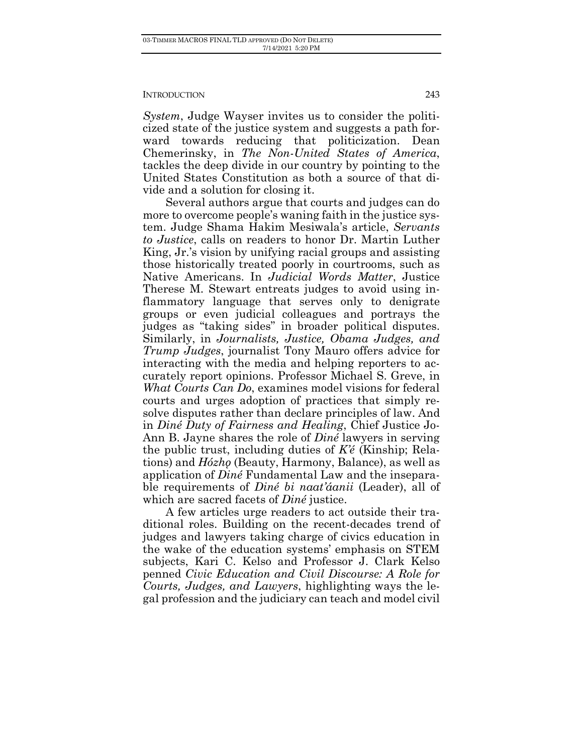*System*, Judge Wayser invites us to consider the politicized state of the justice system and suggests a path forward towards reducing that politicization. Dean Chemerinsky, in *The Non-United States of America*, tackles the deep divide in our country by pointing to the United States Constitution as both a source of that divide and a solution for closing it.

Several authors argue that courts and judges can do more to overcome people's waning faith in the justice system. Judge Shama Hakim Mesiwala's article, *Servants to Justice*, calls on readers to honor Dr. Martin Luther King, Jr.'s vision by unifying racial groups and assisting those historically treated poorly in courtrooms, such as Native Americans. In *Judicial Words Matter*, Justice Therese M. Stewart entreats judges to avoid using inflammatory language that serves only to denigrate groups or even judicial colleagues and portrays the judges as "taking sides" in broader political disputes. Similarly, in *Journalists, Justice, Obama Judges, and Trump Judges*, journalist Tony Mauro offers advice for interacting with the media and helping reporters to accurately report opinions. Professor Michael S. Greve, in *What Courts Can Do*, examines model visions for federal courts and urges adoption of practices that simply resolve disputes rather than declare principles of law. And in *Diné Duty of Fairness and Healing*, Chief Justice Jo-Ann B. Jayne shares the role of *Diné* lawyers in serving the public trust, including duties of *K'é* (Kinship; Relations) and *Hózhǫ* (Beauty, Harmony, Balance), as well as application of *Diné* Fundamental Law and the inseparable requirements of *Diné bi naat'áanii* (Leader), all of which are sacred facets of *Diné* justice.

A few articles urge readers to act outside their traditional roles. Building on the recent-decades trend of judges and lawyers taking charge of civics education in the wake of the education systems' emphasis on STEM subjects, Kari C. Kelso and Professor J. Clark Kelso penned *Civic Education and Civil Discourse: A Role for Courts, Judges, and Lawyers*, highlighting ways the legal profession and the judiciary can teach and model civil